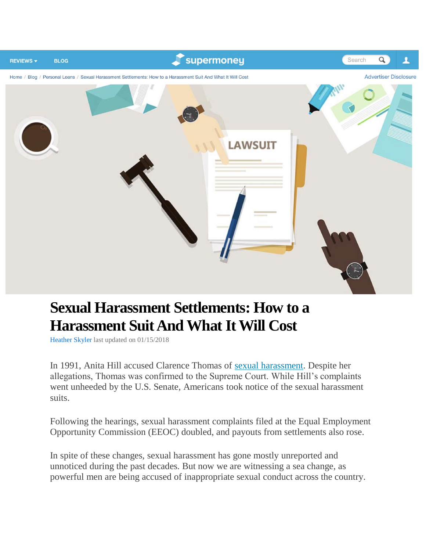

## **Sexual Harassment Settlements: How to a Harassment Suit And What It Will Cost**

[Heather](https://www.supermoney.com/author/heatherskyler/) Skyler last updated on 01/15/2018

In 1991, Anita Hill accused Clarence Thomas of sexual [harassment.](https://www.supermoney.com/2018/01/sexual-harassment-cost-legal-costs/) Despite her allegations, Thomas was confirmed to the Supreme Court. While Hill's complaints went unheeded by the U.S. Senate, Americans took notice of the sexual harassment suits.

Following the hearings, sexual harassment complaints filed at the Equal Employment Opportunity Commission (EEOC) doubled, and payouts from settlements also rose.

In spite of these changes, sexual harassment has gone mostly unreported and unnoticed during the past decades. But now we are witnessing a sea change, as powerful men are being accused of inappropriate sexual conduct across the country.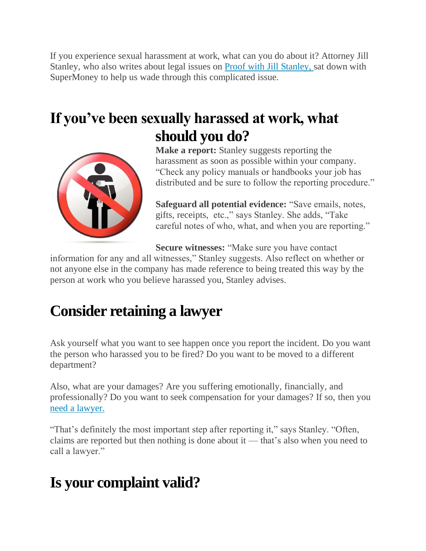If you experience sexual harassment at work, what can you do about it? Attorney Jill Stanley, who also writes about legal issues on Proof with Jill [Stanley,](http://www.proofwithjillstanley.com/) sat down with SuperMoney to help us wade through this complicated issue.

## **If you've been sexually harassed at work, what should you do?**



**Make a report:** Stanley suggests reporting the harassment as soon as possible within your company. "Check any policy manuals or handbooks your job has distributed and be sure to follow the reporting procedure."

**Safeguard all potential evidence:** "Save emails, notes, gifts, receipts, etc.," says Stanley. She adds, "Take careful notes of who, what, and when you are reporting."

**Secure witnesses:** "Make sure you have contact

information for any and all witnesses," Stanley suggests. Also reflect on whether or not anyone else in the company has made reference to being treated this way by the person at work who you believe harassed you, Stanley advises.

# **Consider retaining a lawyer**

Ask yourself what you want to see happen once you report the incident. Do you want the person who harassed you to be fired? Do you want to be moved to a different department?

Also, what are your damages? Are you suffering emotionally, financially, and professionally? Do you want to seek compensation for your damages? If so, then you need a [lawyer.](https://www.supermoney.com/2017/11/how-to-pay-for-an-attorney/)

"That's definitely the most important step after reporting it," says Stanley. "Often, claims are reported but then nothing is done about it — that's also when you need to call a lawyer."

# **Is your complaint valid?**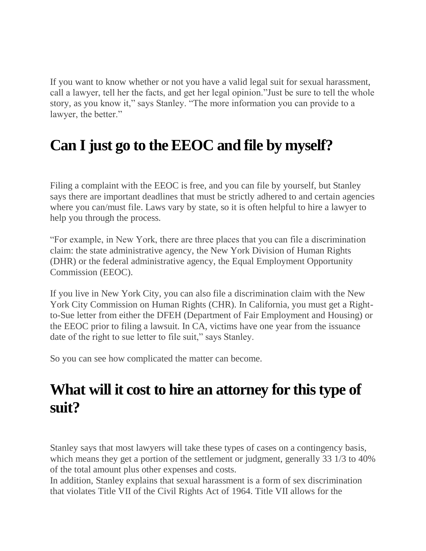If you want to know whether or not you have a valid legal suit for sexual harassment, call a lawyer, tell her the facts, and get her legal opinion."Just be sure to tell the whole story, as you know it," says Stanley. "The more information you can provide to a lawyer, the better."

# **Can I just go to the EEOC and file by myself?**

Filing a complaint with the EEOC is free, and you can file by yourself, but Stanley says there are important deadlines that must be strictly adhered to and certain agencies where you can/must file. Laws vary by state, so it is often helpful to hire a lawyer to help you through the process.

"For example, in New York, there are three places that you can file a discrimination claim: the state administrative agency, the New York Division of Human Rights (DHR) or the federal administrative agency, the Equal Employment Opportunity Commission (EEOC).

If you live in New York City, you can also file a discrimination claim with the New York City Commission on Human Rights (CHR). In California, you must get a Rightto-Sue letter from either the DFEH (Department of Fair Employment and Housing) or the EEOC prior to filing a lawsuit. In CA, victims have one year from the issuance date of the right to sue letter to file suit," says Stanley.

So you can see how complicated the matter can become.

### **What will it cost to hire an attorney for this type of suit?**

Stanley says that most lawyers will take these types of cases on a contingency basis, which means they get a portion of the settlement or judgment, generally 33 1/3 to 40% of the total amount plus other expenses and costs.

In addition, Stanley explains that sexual harassment is a form of sex discrimination that violates Title VII of the Civil Rights Act of 1964. Title VII allows for the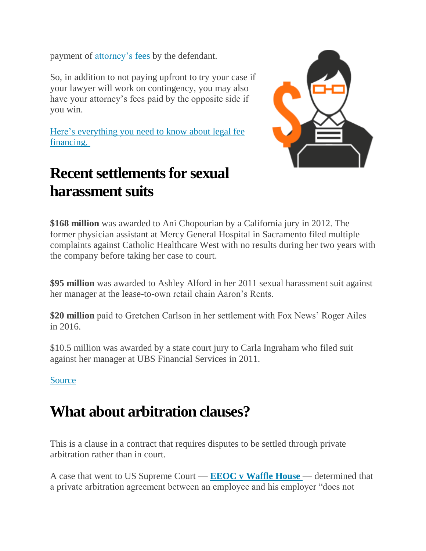payment of [attorney's](https://www.supermoney.com/2017/11/average-attorney-fees-finance-legal/) fees by the defendant.

So, in addition to not paying upfront to try your case if your lawyer will work on contingency, you may also have your attorney's fees paid by the opposite side if you win.

Here's [everything](https://www.supermoney.com/2017/11/9-ways-pay-legal-fees-supermoney-guide-legal-fee-financing/) you need to know about legal fee [financing.](https://www.supermoney.com/2017/11/9-ways-pay-legal-fees-supermoney-guide-legal-fee-financing/)

## **Recent settlements for sexual harassment suits**



**\$168 million** was awarded to Ani Chopourian by a California jury in 2012. The former physician assistant at Mercy General Hospital in Sacramento filed multiple complaints against Catholic Healthcare West with no results during her two years with the company before taking her case to court.

**\$95 million** was awarded to Ashley Alford in her 2011 sexual harassment suit against her manager at the lease-to-own retail chain Aaron's Rents.

**\$20 million** paid to Gretchen Carlson in her settlement with Fox News' Roger Ailes in 2016.

\$10.5 million was awarded by a state court jury to Carla Ingraham who filed suit against her manager at UBS Financial Services in 2011.

#### **[Source](https://www.usatoday.com/story/money/2017/10/25/sexual-harassment-here-some-biggest-cases/791439001/)**

### **What about arbitration clauses?**

This is a clause in a contract that requires disputes to be settled through private arbitration rather than in court.

A case that went to US Supreme Court — **EEOC v [Waffle](https://www.eeoc.gov/eeoc/newsroom/release/1-15-02.cfm) House** — determined that a private arbitration agreement between an employee and his employer "does not